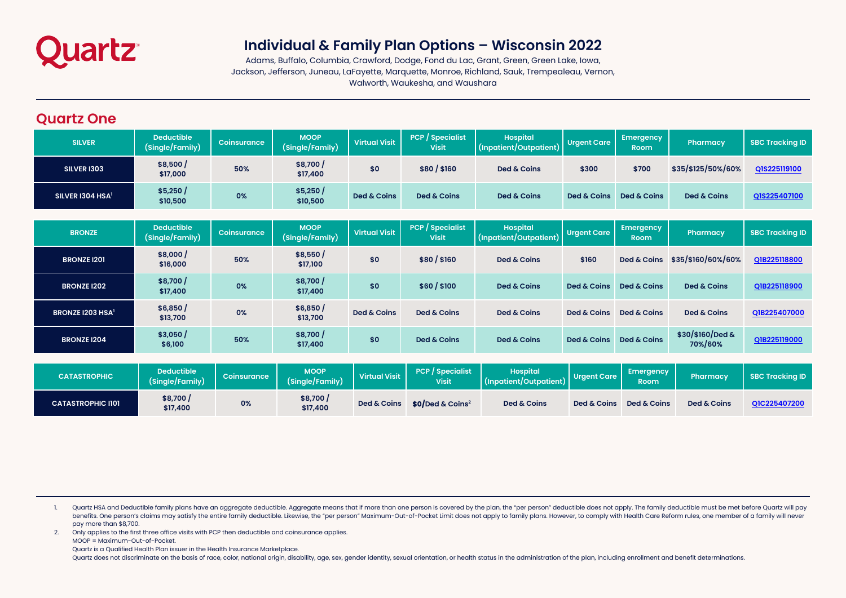

# **Individual & Family Plan Options – Wisconsin 2022**

Adams, Buffalo, Columbia, Crawford, Dodge, Fond du Lac, Grant, Green, Green Lake, Iowa, Jackson, Jefferson, Juneau, LaFayette, Marquette, Monroe, Richland, Sauk, Trempealeau, Vernon, Walworth, Waukesha, and Waushara

#### **Quartz One**

| <b>SILVER</b>        | <b>Deductible</b><br>(Single/Family) | Coinsurance | <b>MOOP</b><br>(Single/Family) | <b>Virtual Visit</b> | <b>PCP</b> Specialist<br><b>Visit</b> | <b>Hospital</b><br>(Inpatient/Outpatient) | <b>Urgent Care</b> | <b>Emergency</b><br><b>Room</b> | Pharmacy           | <b>SBC Tracking ID</b> |
|----------------------|--------------------------------------|-------------|--------------------------------|----------------------|---------------------------------------|-------------------------------------------|--------------------|---------------------------------|--------------------|------------------------|
| <b>SILVER 1303</b>   | \$8,500/<br>\$17,000                 | 50%         | \$8,700<br>\$17,400            | \$0                  | \$80/\$160                            | Ded & Coins                               | \$300              | \$700                           | \$35/\$125/50%/60% | QIS225119100           |
| SILVER 1304 HSA $^1$ | \$5,250/<br>\$10,500                 | 0%          | \$5,250/<br>\$10,500           | Ded & Coins          | Ded & Coins                           | Ded & Coins                               | Ded & Coins        | Ded & Coins                     | Ded & Coins        | QIS225407100           |

| <b>BRONZE</b>                | Deductible<br>(Single/Family) | <b>Coinsurance</b> | <b>MOOP</b><br>(Single/Family) | <b>Virtual Visit</b> | <b>PCP</b> Specialist<br><b>Visit</b> | <b>Hospital</b><br>(Inpatient/Outpatient) | <b>Urgent Care</b> | Emergency<br><b>Room</b> | <b>Pharmacy</b>             | <b>SBC Tracking ID</b> |
|------------------------------|-------------------------------|--------------------|--------------------------------|----------------------|---------------------------------------|-------------------------------------------|--------------------|--------------------------|-----------------------------|------------------------|
| <b>BRONZE 1201</b>           | \$8,000/<br>\$16,000          | 50%                | \$8,550/<br>\$17,100           | \$0                  | \$80/\$160                            | Ded & Coins                               | \$160              | <b>Ded &amp; Coins</b>   | \$35/\$160/60%/60%          | Q1B225118800           |
| <b>BRONZE I202</b>           | \$8,700/<br>\$17,400          | 0%                 | \$8,700/<br>\$17,400           | \$0                  | \$60/\$100                            | Ded & Coins                               | Ded & Coins        | Ded & Coins              | Ded & Coins                 | Q1B225118900           |
| BRONZE I203 HSA <sup>1</sup> | \$6,850/<br>\$13,700          | 0%                 | \$6,850/<br>\$13,700           | Ded & Coins          | Ded & Coins                           | Ded & Coins                               | Ded & Coins        | Ded & Coins              | Ded & Coins                 | Q1B225407000           |
| <b>BRONZE 1204</b>           | \$3,050/<br>\$6,100           | 50%                | \$8,700/<br>\$17,400           | \$0                  | Ded & Coins                           | Ded & Coins                               | Ded & Coins        | Ded & Coins              | \$30/\$160/Ded &<br>70%/60% | Q1B225119000           |

| <b>CATASTROPHIC</b>      | <b>Deductible</b><br>(Single/Family) | Coinsurance | <b>MOOP</b><br>(Single/Family) | <b>Virtual Visit</b> | <b>PCP</b> / Specialist<br><b>Visit</b> | <b>Hospital</b><br>(Inpatient/Outpatient) | <b>Urgent Care</b> | <b>Emergency</b><br><b>Room</b> | Pharmacy    | <b>SBC Tracking ID</b> |
|--------------------------|--------------------------------------|-------------|--------------------------------|----------------------|-----------------------------------------|-------------------------------------------|--------------------|---------------------------------|-------------|------------------------|
| <b>CATASTROPHIC I101</b> | \$8,700/<br>\$17,400                 | 0%          | \$8,700 /<br>\$17,400          | Ded & Coins          | $$0/$ Ded & Coins <sup>2</sup>          | Ded & Coins                               | Ded & Coins        | Ded & Coins                     | Ded & Coins | QIC225407200           |

1. Quartz HSA and Deductible family plans have an aggregate deductible. Aggregate means that if more than one person is covered by the plan, the "per person" deductible does not apply. The family deductible must be met bef benefits. One person's claims may satisfy the entire family deductible. Likewise, the "per person" Maximum-Out-of-Pocket Limit does not apply to family plans. However, to comply with Health Care Reform rules, one member of pay more than \$8,700.

2. Only applies to the first three office visits with PCP then deductible and coinsurance applies.

MOOP = Maximum-Out-of-Pocket.

Quartz is a Qualified Health Plan issuer in the Health Insurance Marketplace.

Quartz does not discriminate on the basis of race, color, national origin, disability, age, sex, gender identity, sexual orientation, or health status in the administration of the plan, including enrollment and benefit det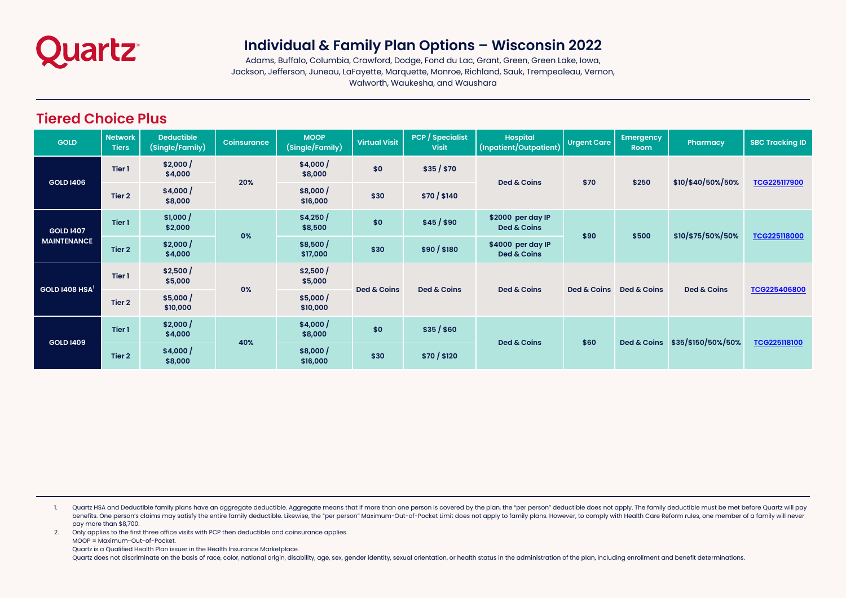

## **Individual & Family Plan Options – Wisconsin 2022**

Adams, Buffalo, Columbia, Crawford, Dodge, Fond du Lac, Grant, Green, Green Lake, Iowa, Jackson, Jefferson, Juneau, LaFayette, Marquette, Monroe, Richland, Sauk, Trempealeau, Vernon, Walworth, Waukesha, and Waushara

### **Tiered Choice Plus**

| <b>GOLD</b>                            | <b>Network</b><br><b>Tiers</b> | <b>Deductible</b><br>(Single/Family) | <b>Coinsurance</b> | <b>MOOP</b><br>(Single/Family) | <b>Virtual Visit</b> | <b>PCP</b> / Specialist<br><b>Visit</b> | <b>Hospital</b><br>(Inpatient/Outpatient) | <b>Urgent Care</b> | <b>Emergency</b><br><b>Room</b> | Pharmacy           | <b>SBC Tracking ID</b> |
|----------------------------------------|--------------------------------|--------------------------------------|--------------------|--------------------------------|----------------------|-----------------------------------------|-------------------------------------------|--------------------|---------------------------------|--------------------|------------------------|
|                                        | Tier 1                         | \$2,000/<br>\$4,000                  |                    | \$4,000/<br>\$8,000            | \$0                  | \$35 / \$70                             | Ded & Coins                               |                    | \$250                           | \$10/\$40/50%/50%  | TCG225117900           |
| <b>GOLD 1406</b>                       | Tier 2                         | \$4,000/<br>\$8,000                  | 20%                | \$8,000/<br>\$16,000           | \$30                 | \$70/ \$140                             |                                           | \$70               |                                 |                    |                        |
| <b>GOLD 1407</b><br><b>MAINTENANCE</b> | Tier 1                         | \$1,000/<br>\$2,000                  | 0%                 | \$4,250/<br>\$8,500            | \$0                  | \$45/ \$90                              | \$2000 per day IP<br>Ded & Coins          | \$90               |                                 | \$10/\$75/50%/50%  | TCG225118000           |
|                                        | Tier 2                         | \$2,000/<br>\$4,000                  |                    | \$8,500/<br>\$17,000           | \$30                 | \$90/ \$180                             | \$4000 per day IP<br>Ded & Coins          |                    | \$500                           |                    |                        |
| GOLD $1408$ HSA <sup>1</sup>           | Tier 1                         | \$2,500/<br>\$5,000                  | 0%                 | \$2,500/<br>\$5,000            | Ded & Coins          | Ded & Coins                             | Ded & Coins                               | Ded & Coins        | Ded & Coins                     | Ded & Coins        | TCG225406800           |
|                                        | Tier 2                         | \$5,000/<br>\$10,000                 |                    | \$5,000/<br>\$10,000           |                      |                                         |                                           |                    |                                 |                    |                        |
| <b>GOLD 1409</b>                       | Tier 1                         | \$2,000/<br>\$4,000                  | 40%                | \$4,000/<br>\$8,000            | \$0                  | \$35/ \$60                              | Ded & Coins                               | \$60               |                                 | \$35/\$150/50%/50% | <b>TCG225118100</b>    |
|                                        | Tier 2                         | \$4,000/<br>\$8,000                  |                    | \$8,000/<br>\$16,000           | \$30                 | \$70/ \$120                             |                                           |                    | Ded & Coins                     |                    |                        |

1. Quartz HSA and Deductible family plans have an aggregate deductible. Aggregate means that if more than one person is covered by the plan, the "per person" deductible does not apply. The family deductible must be met bef benefits. One person's claims may satisfy the entire family deductible. Likewise, the "per person" Maximum-Out-of-Pocket Limit does not apply to family plans. However, to comply with Health Care Reform rules, one member of pay more than \$8,700.

2. Only applies to the first three office visits with PCP then deductible and coinsurance applies.

MOOP = Maximum-Out-of-Pocket.

Quartz is a Qualified Health Plan issuer in the Health Insurance Marketplace.

Quartz does not discriminate on the basis of race, color, national origin, disability, age, sex, gender identity, sexual orientation, or health status in the administration of the plan, including enrollment and benefit det